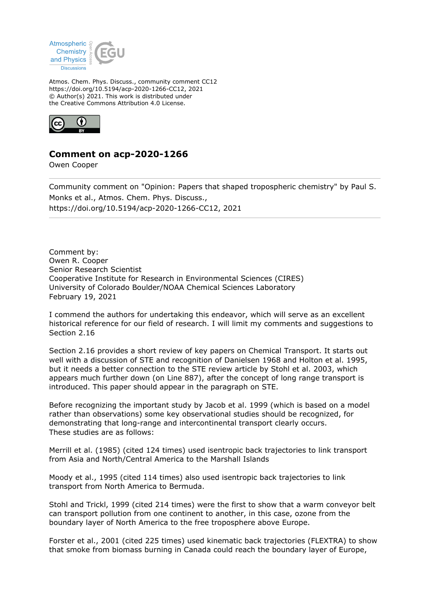

Atmos. Chem. Phys. Discuss., community comment CC12 https://doi.org/10.5194/acp-2020-1266-CC12, 2021 © Author(s) 2021. This work is distributed under the Creative Commons Attribution 4.0 License.



**Comment on acp-2020-1266**

Owen Cooper

Community comment on "Opinion: Papers that shaped tropospheric chemistry" by Paul S. Monks et al., Atmos. Chem. Phys. Discuss., https://doi.org/10.5194/acp-2020-1266-CC12, 2021

Comment by: Owen R. Cooper Senior Research Scientist Cooperative Institute for Research in Environmental Sciences (CIRES) University of Colorado Boulder/NOAA Chemical Sciences Laboratory February 19, 2021

I commend the authors for undertaking this endeavor, which will serve as an excellent historical reference for our field of research. I will limit my comments and suggestions to Section 2.16

Section 2.16 provides a short review of key papers on Chemical Transport. It starts out well with a discussion of STE and recognition of Danielsen 1968 and Holton et al. 1995, but it needs a better connection to the STE review article by Stohl et al. 2003, which appears much further down (on Line 887), after the concept of long range transport is introduced. This paper should appear in the paragraph on STE.

Before recognizing the important study by Jacob et al. 1999 (which is based on a model rather than observations) some key observational studies should be recognized, for demonstrating that long-range and intercontinental transport clearly occurs. These studies are as follows:

Merrill et al. (1985) (cited 124 times) used isentropic back trajectories to link transport from Asia and North/Central America to the Marshall Islands

Moody et al., 1995 (cited 114 times) also used isentropic back trajectories to link transport from North America to Bermuda.

Stohl and Trickl, 1999 (cited 214 times) were the first to show that a warm conveyor belt can transport pollution from one continent to another, in this case, ozone from the boundary layer of North America to the free troposphere above Europe.

Forster et al., 2001 (cited 225 times) used kinematic back trajectories (FLEXTRA) to show that smoke from biomass burning in Canada could reach the boundary layer of Europe,